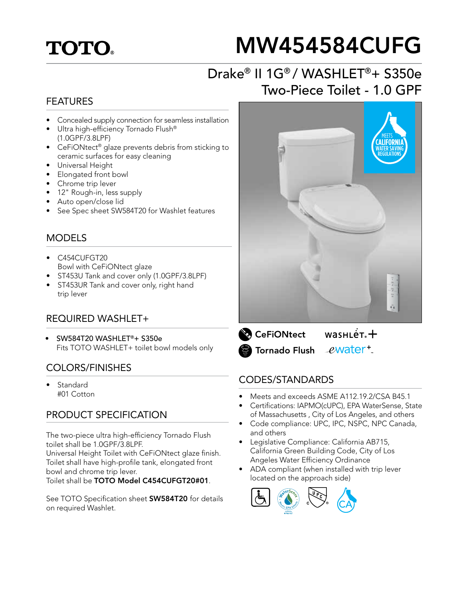## **TOTO.**

# MW454584CUFG

## Drake® II 1G® / WASHLET®+ S350e Two-Piece Toilet - 1.0 GPF

#### FEATURES

- Concealed supply connection for seamless installation
- Ultra high-efficiency Tornado Flush® (1.0GPF/3.8LPF)
- CeFiONtect® glaze prevents debris from sticking to ceramic surfaces for easy cleaning
- Universal Height
- Elongated front bowl
- Chrome trip lever
- 12" Rough-in, less supply
- Auto open/close lid
- See Spec sheet SW584T20 for Washlet features

#### MODELS

- C454CUFGT20 Bowl with CeFiONtect glaze
- ST453U Tank and cover only (1.0GPF/3.8LPF)
- ST453UR Tank and cover only, right hand trip lever

#### REQUIRED WASHLET+

• SW584T20 WASHLET®+ S350e Fits TOTO WASHLET+ toilet bowl models only

#### COLORS/FINISHES

**Standard** #01 Cotton

#### PRODUCT SPECIFICATION

The two-piece ultra high-efficiency Tornado Flush toilet shall be 1.0GPF/3.8LPF.

Universal Height Toilet with CeFiONtect glaze finish. Toilet shall have high-profile tank, elongated front bowl and chrome trip lever.

Toilet shall be TOTO Model C454CUFGT20#01.

See TOTO Specification sheet **SW584T20** for details on required Washlet.



 $wasnLér +$ **CeFiONtect** ewater<sup>+</sup> **S** Tornado Flush

#### CODES/STANDARDS

- Meets and exceeds ASME A112.19.2/CSA B45.1
- Certifications: IAPMO(cUPC), EPA WaterSense, State of Massachusetts , City of Los Angeles, and others
- Code compliance: UPC, IPC, NSPC, NPC Canada, and others
- Legislative Compliance: California AB715, California Green Building Code, City of Los Angeles Water Efficiency Ordinance
- ADA compliant (when installed with trip lever located on the approach side)